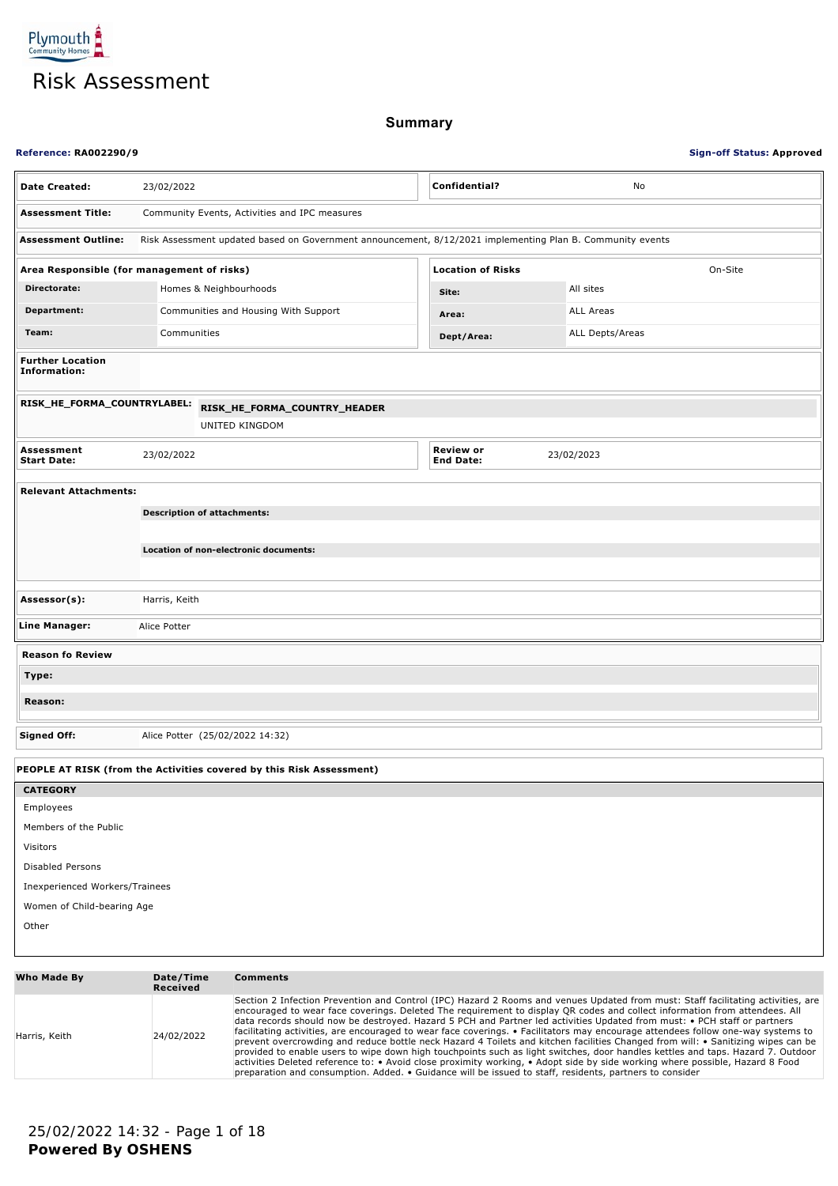Plymouth<sup>2</sup> Risk Assessment

**Summary**

| <b>Reference: RA002290/9</b>                                         |                                                                                                           |                                      | <b>Sign-off Status: Approved</b> |
|----------------------------------------------------------------------|-----------------------------------------------------------------------------------------------------------|--------------------------------------|----------------------------------|
| <b>Date Created:</b>                                                 | 23/02/2022                                                                                                | Confidential?                        | No                               |
| <b>Assessment Title:</b>                                             | Community Events, Activities and IPC measures                                                             |                                      |                                  |
| <b>Assessment Outline:</b>                                           | Risk Assessment updated based on Government announcement, 8/12/2021 implementing Plan B. Community events |                                      |                                  |
| Area Responsible (for management of risks)                           |                                                                                                           | <b>Location of Risks</b>             | On-Site                          |
| Directorate:                                                         | Homes & Neighbourhoods                                                                                    | Site:                                | All sites                        |
| Department:                                                          | Communities and Housing With Support                                                                      | Area:                                | ALL Areas                        |
| Team:                                                                | Communities                                                                                               | Dept/Area:                           | ALL Depts/Areas                  |
| <b>Further Location</b><br>Information:                              |                                                                                                           |                                      |                                  |
| RISK_HE_FORMA_COUNTRYLABEL:                                          | RISK_HE_FORMA_COUNTRY_HEADER                                                                              |                                      |                                  |
|                                                                      | UNITED KINGDOM                                                                                            |                                      |                                  |
| Assessment<br><b>Start Date:</b>                                     | 23/02/2022                                                                                                | <b>Review or</b><br><b>End Date:</b> | 23/02/2023                       |
| <b>Relevant Attachments:</b>                                         |                                                                                                           |                                      |                                  |
|                                                                      | <b>Description of attachments:</b>                                                                        |                                      |                                  |
|                                                                      |                                                                                                           |                                      |                                  |
|                                                                      | Location of non-electronic documents:                                                                     |                                      |                                  |
|                                                                      |                                                                                                           |                                      |                                  |
| Assessor(s):                                                         | Harris, Keith                                                                                             |                                      |                                  |
| Line Manager:                                                        | Alice Potter                                                                                              |                                      |                                  |
| <b>Reason fo Review</b>                                              |                                                                                                           |                                      |                                  |
| Type:                                                                |                                                                                                           |                                      |                                  |
| Reason:                                                              |                                                                                                           |                                      |                                  |
| <b>Signed Off:</b>                                                   | Alice Potter (25/02/2022 14:32)                                                                           |                                      |                                  |
| PEOPLE AT RISK (from the Activities covered by this Risk Assessment) |                                                                                                           |                                      |                                  |
| <b>CATEGORY</b>                                                      |                                                                                                           |                                      |                                  |
| Employees                                                            |                                                                                                           |                                      |                                  |
| Members of the Public                                                |                                                                                                           |                                      |                                  |
| Visitors                                                             |                                                                                                           |                                      |                                  |
| Disabled Persons                                                     |                                                                                                           |                                      |                                  |
| Inexperienced Workers/Trainees<br>Women of Child-bearing Age         |                                                                                                           |                                      |                                  |
| Other                                                                |                                                                                                           |                                      |                                  |
|                                                                      |                                                                                                           |                                      |                                  |
| Who Made By                                                          | Date/Time<br><b>Comments</b><br>Received                                                                  |                                      |                                  |

| Harris, Keith | 24/02/2022 | Section 2 Infection Prevention and Control (IPC) Hazard 2 Rooms and venues Updated from must: Staff facilitating activities, are<br>encouraged to wear face coverings. Deleted The requirement to display QR codes and collect information from attendees. All<br>data records should now be destroyed. Hazard 5 PCH and Partner led activities Updated from must: • PCH staff or partners<br>facilitating activities, are encouraged to wear face coverings. • Facilitators may encourage attendees follow one-way systems to<br>prevent overcrowding and reduce bottle neck Hazard 4 Toilets and kitchen facilities Changed from will: • Sanitizing wipes can be<br>provided to enable users to wipe down high touchpoints such as light switches, door handles kettles and taps. Hazard 7. Outdoor<br>activities Deleted reference to: • Avoid close proximity working, • Adopt side by side working where possible, Hazard 8 Food<br>preparation and consumption. Added. • Guidance will be issued to staff, residents, partners to consider |
|---------------|------------|--------------------------------------------------------------------------------------------------------------------------------------------------------------------------------------------------------------------------------------------------------------------------------------------------------------------------------------------------------------------------------------------------------------------------------------------------------------------------------------------------------------------------------------------------------------------------------------------------------------------------------------------------------------------------------------------------------------------------------------------------------------------------------------------------------------------------------------------------------------------------------------------------------------------------------------------------------------------------------------------------------------------------------------------------|
|---------------|------------|--------------------------------------------------------------------------------------------------------------------------------------------------------------------------------------------------------------------------------------------------------------------------------------------------------------------------------------------------------------------------------------------------------------------------------------------------------------------------------------------------------------------------------------------------------------------------------------------------------------------------------------------------------------------------------------------------------------------------------------------------------------------------------------------------------------------------------------------------------------------------------------------------------------------------------------------------------------------------------------------------------------------------------------------------|

**Powered By OSHENS** 25/02/2022 14:32 - Page 1 of 18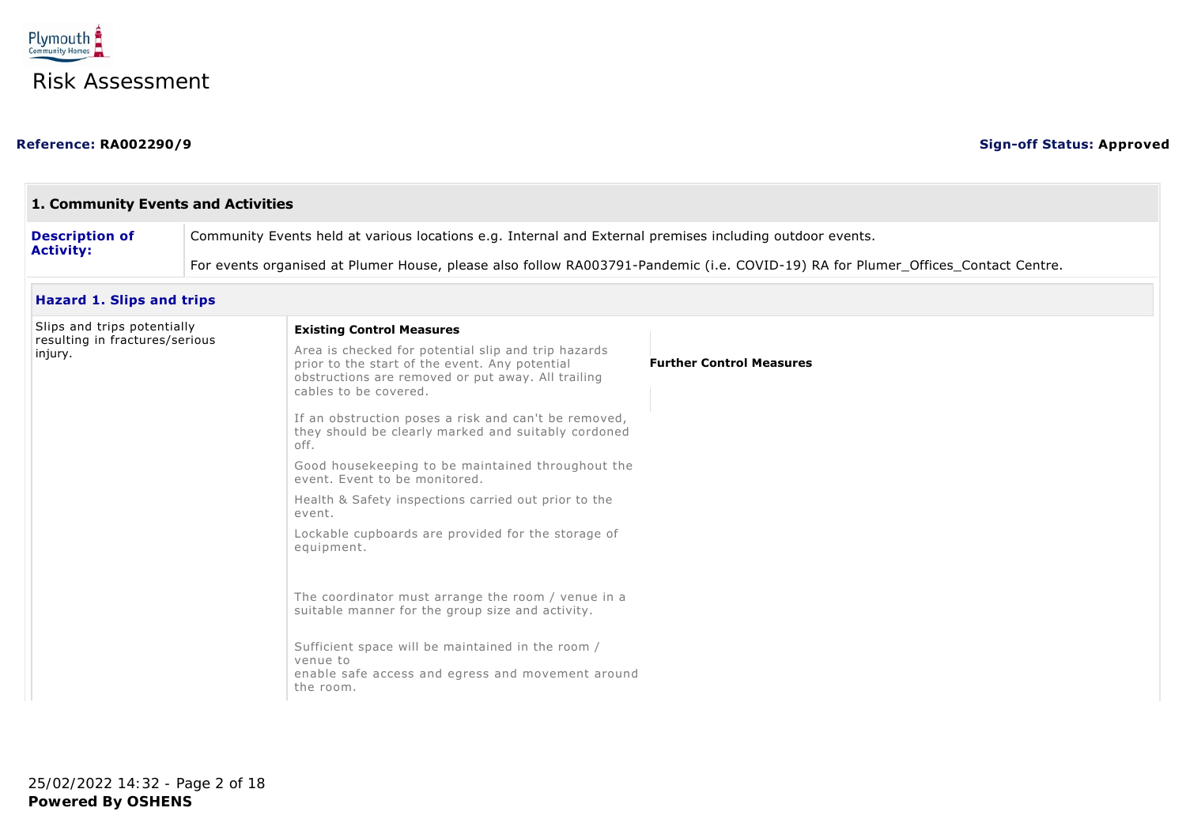

### **Reference: RA002290/9 Sign-off Status: Approved**

| 1. Community Events and Activities        |                                                                                                                                  |                                                                                                                                                                                      |                                 |  |
|-------------------------------------------|----------------------------------------------------------------------------------------------------------------------------------|--------------------------------------------------------------------------------------------------------------------------------------------------------------------------------------|---------------------------------|--|
| <b>Description of</b><br><b>Activity:</b> | Community Events held at various locations e.g. Internal and External premises including outdoor events.                         |                                                                                                                                                                                      |                                 |  |
|                                           | For events organised at Plumer House, please also follow RA003791-Pandemic (i.e. COVID-19) RA for Plumer_Offices_Contact Centre. |                                                                                                                                                                                      |                                 |  |
| <b>Hazard 1. Slips and trips</b>          |                                                                                                                                  |                                                                                                                                                                                      |                                 |  |
| Slips and trips potentially               |                                                                                                                                  | <b>Existing Control Measures</b>                                                                                                                                                     |                                 |  |
| resulting in fractures/serious<br>injury. |                                                                                                                                  | Area is checked for potential slip and trip hazards<br>prior to the start of the event. Any potential<br>obstructions are removed or put away. All trailing<br>cables to be covered. | <b>Further Control Measures</b> |  |
|                                           |                                                                                                                                  | If an obstruction poses a risk and can't be removed,<br>they should be clearly marked and suitably cordoned<br>off.                                                                  |                                 |  |
|                                           |                                                                                                                                  | Good housekeeping to be maintained throughout the<br>event. Event to be monitored.                                                                                                   |                                 |  |
|                                           | event.<br>equipment.                                                                                                             | Health & Safety inspections carried out prior to the                                                                                                                                 |                                 |  |
|                                           |                                                                                                                                  | Lockable cupboards are provided for the storage of                                                                                                                                   |                                 |  |
|                                           |                                                                                                                                  | The coordinator must arrange the room / venue in a<br>suitable manner for the group size and activity.                                                                               |                                 |  |
|                                           |                                                                                                                                  | Sufficient space will be maintained in the room /<br>venue to<br>enable safe access and egress and movement around<br>the room.                                                      |                                 |  |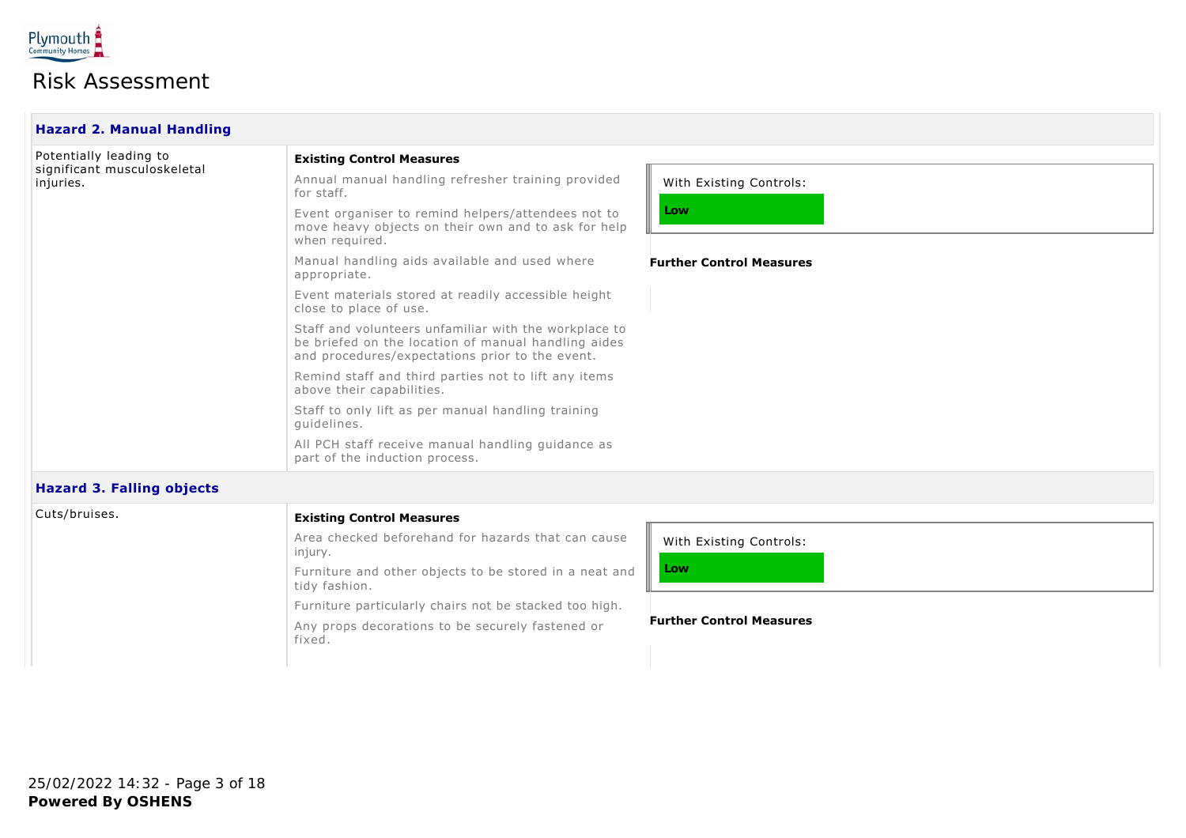

| <b>Hazard 2. Manual Handling</b>                                   |                                                                                                                                                                 |                                 |  |
|--------------------------------------------------------------------|-----------------------------------------------------------------------------------------------------------------------------------------------------------------|---------------------------------|--|
| Potentially leading to<br>significant musculoskeletal<br>injuries. | <b>Existing Control Measures</b>                                                                                                                                |                                 |  |
|                                                                    | Annual manual handling refresher training provided<br>for staff.                                                                                                | With Existing Controls:         |  |
|                                                                    | Event organiser to remind helpers/attendees not to<br>move heavy objects on their own and to ask for help<br>when required.                                     | Low                             |  |
|                                                                    | Manual handling aids available and used where<br>appropriate.                                                                                                   | <b>Further Control Measures</b> |  |
|                                                                    | Event materials stored at readily accessible height<br>close to place of use.                                                                                   |                                 |  |
|                                                                    | Staff and volunteers unfamiliar with the workplace to<br>be briefed on the location of manual handling aides<br>and procedures/expectations prior to the event. |                                 |  |
|                                                                    | Remind staff and third parties not to lift any items<br>above their capabilities.                                                                               |                                 |  |
|                                                                    | Staff to only lift as per manual handling training<br>quidelines.                                                                                               |                                 |  |
|                                                                    | All PCH staff receive manual handling guidance as<br>part of the induction process.                                                                             |                                 |  |
| <b>Hazard 3. Falling objects</b>                                   |                                                                                                                                                                 |                                 |  |
| Cuts/bruises.                                                      | <b>Existing Control Measures</b>                                                                                                                                |                                 |  |
|                                                                    | Area checked beforehand for hazards that can cause<br>injury.                                                                                                   | With Existing Controls:         |  |

Furniture and other objects to be stored in a neat and tidy fashion. Furniture particularly chairs not be stacked too high.

Any props decorations to be securely fastened or fixed.

**Low**

Ш

**Further Control Measures**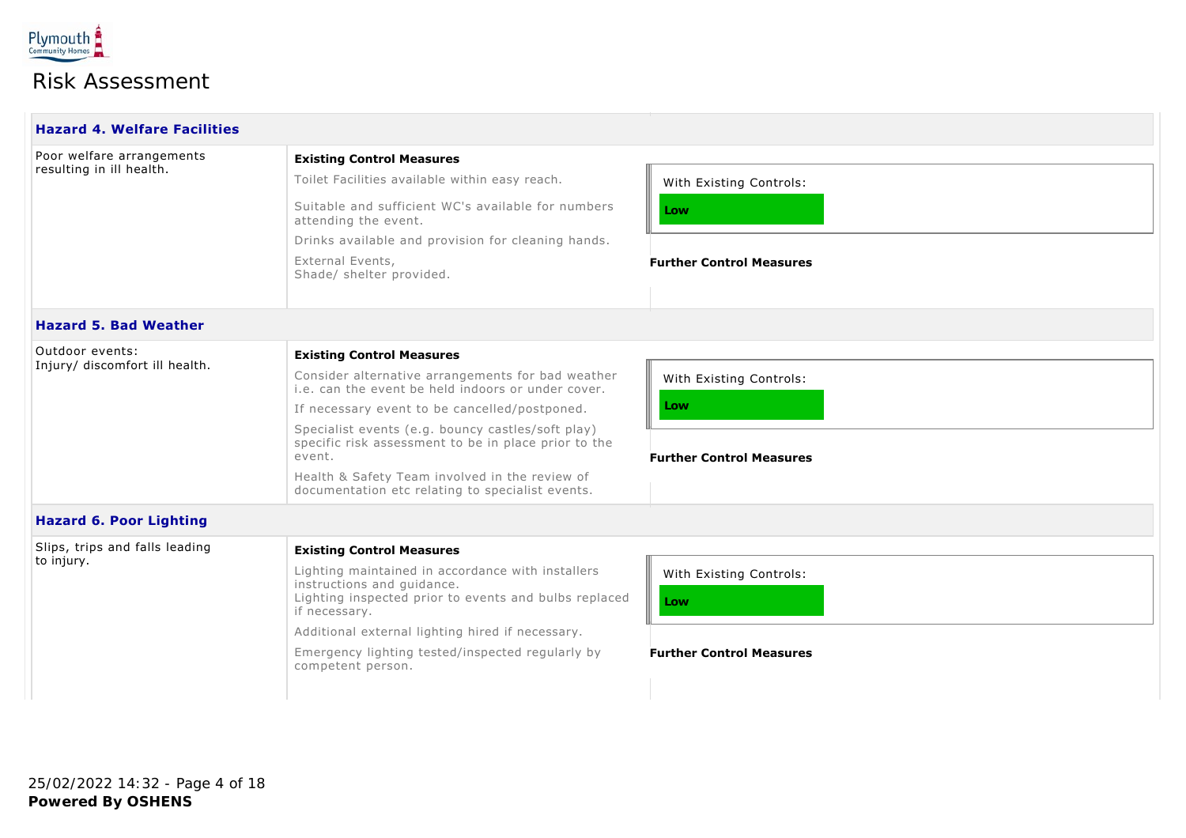

| <b>Hazard 4. Welfare Facilities</b> |                                                                                                                                                           |                                 |  |
|-------------------------------------|-----------------------------------------------------------------------------------------------------------------------------------------------------------|---------------------------------|--|
| Poor welfare arrangements           | <b>Existing Control Measures</b>                                                                                                                          |                                 |  |
| resulting in ill health.            | Toilet Facilities available within easy reach.                                                                                                            | With Existing Controls:         |  |
|                                     | Suitable and sufficient WC's available for numbers<br>attending the event.                                                                                | Low                             |  |
|                                     | Drinks available and provision for cleaning hands.                                                                                                        |                                 |  |
|                                     | External Events,<br>Shade/ shelter provided.                                                                                                              | <b>Further Control Measures</b> |  |
| <b>Hazard 5. Bad Weather</b>        |                                                                                                                                                           |                                 |  |
| Outdoor events:                     | <b>Existing Control Measures</b>                                                                                                                          |                                 |  |
| Injury/ discomfort ill health.      | Consider alternative arrangements for bad weather<br>i.e. can the event be held indoors or under cover.                                                   | With Existing Controls:         |  |
|                                     | If necessary event to be cancelled/postponed.                                                                                                             | Low                             |  |
|                                     | Specialist events (e.g. bouncy castles/soft play)<br>specific risk assessment to be in place prior to the<br>event.                                       | <b>Further Control Measures</b> |  |
|                                     | Health & Safety Team involved in the review of<br>documentation etc relating to specialist events.                                                        |                                 |  |
| <b>Hazard 6. Poor Lighting</b>      |                                                                                                                                                           |                                 |  |
| Slips, trips and falls leading      | <b>Existing Control Measures</b>                                                                                                                          |                                 |  |
| to injury.                          | Lighting maintained in accordance with installers<br>instructions and guidance.<br>Lighting inspected prior to events and bulbs replaced<br>if necessary. | With Existing Controls:<br>Low  |  |
|                                     | Additional external lighting hired if necessary.                                                                                                          |                                 |  |
|                                     | Emergency lighting tested/inspected regularly by<br>competent person.                                                                                     | <b>Further Control Measures</b> |  |
|                                     |                                                                                                                                                           |                                 |  |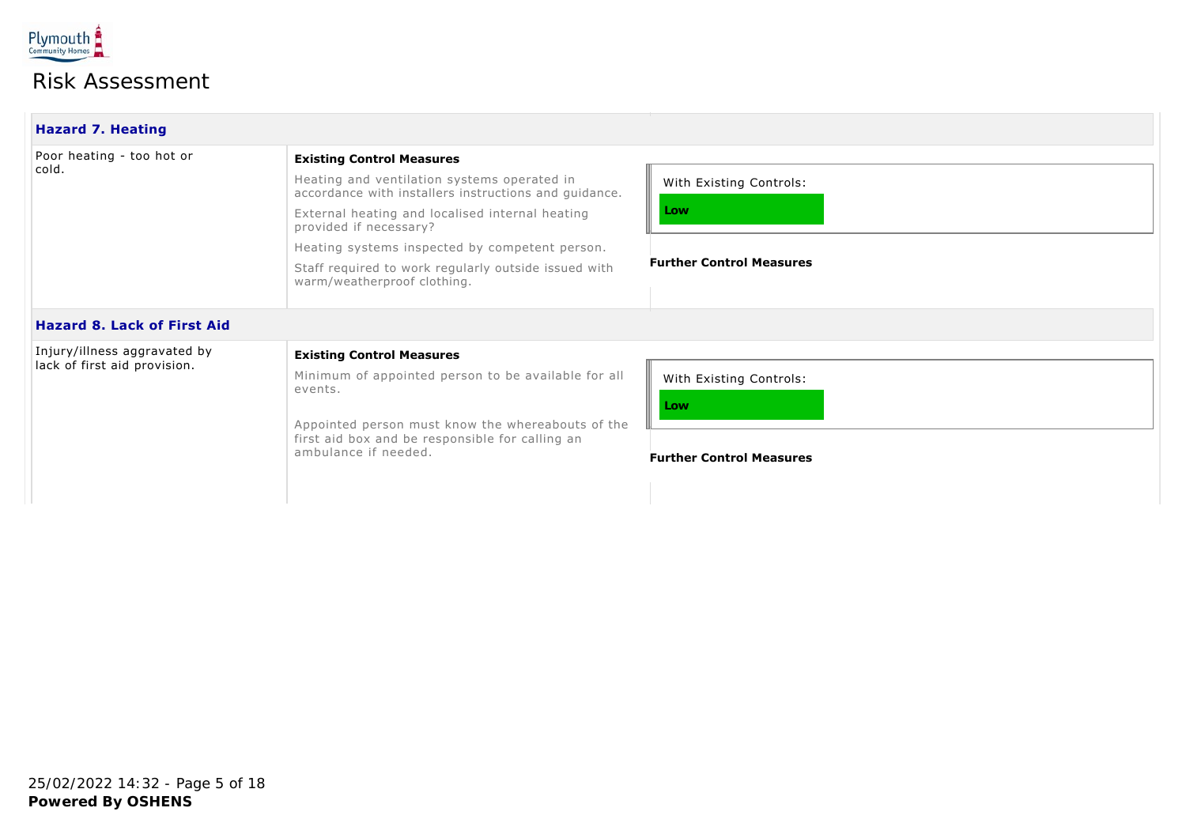

| <b>Hazard 7. Heating</b>                                     |                                                                                                                                                                                                                                                                                                                                                                |                                                                   |
|--------------------------------------------------------------|----------------------------------------------------------------------------------------------------------------------------------------------------------------------------------------------------------------------------------------------------------------------------------------------------------------------------------------------------------------|-------------------------------------------------------------------|
| Poor heating - too hot or<br>cold.                           | <b>Existing Control Measures</b><br>Heating and ventilation systems operated in<br>accordance with installers instructions and guidance.<br>External heating and localised internal heating<br>provided if necessary?<br>Heating systems inspected by competent person.<br>Staff required to work regularly outside issued with<br>warm/weatherproof clothing. | With Existing Controls:<br>Low<br><b>Further Control Measures</b> |
| <b>Hazard 8. Lack of First Aid</b>                           |                                                                                                                                                                                                                                                                                                                                                                |                                                                   |
| Injury/illness aggravated by<br>lack of first aid provision. | <b>Existing Control Measures</b><br>Minimum of appointed person to be available for all<br>events.<br>Appointed person must know the whereabouts of the<br>first aid box and be responsible for calling an<br>ambulance if needed.                                                                                                                             | With Existing Controls:<br>Low<br><b>Further Control Measures</b> |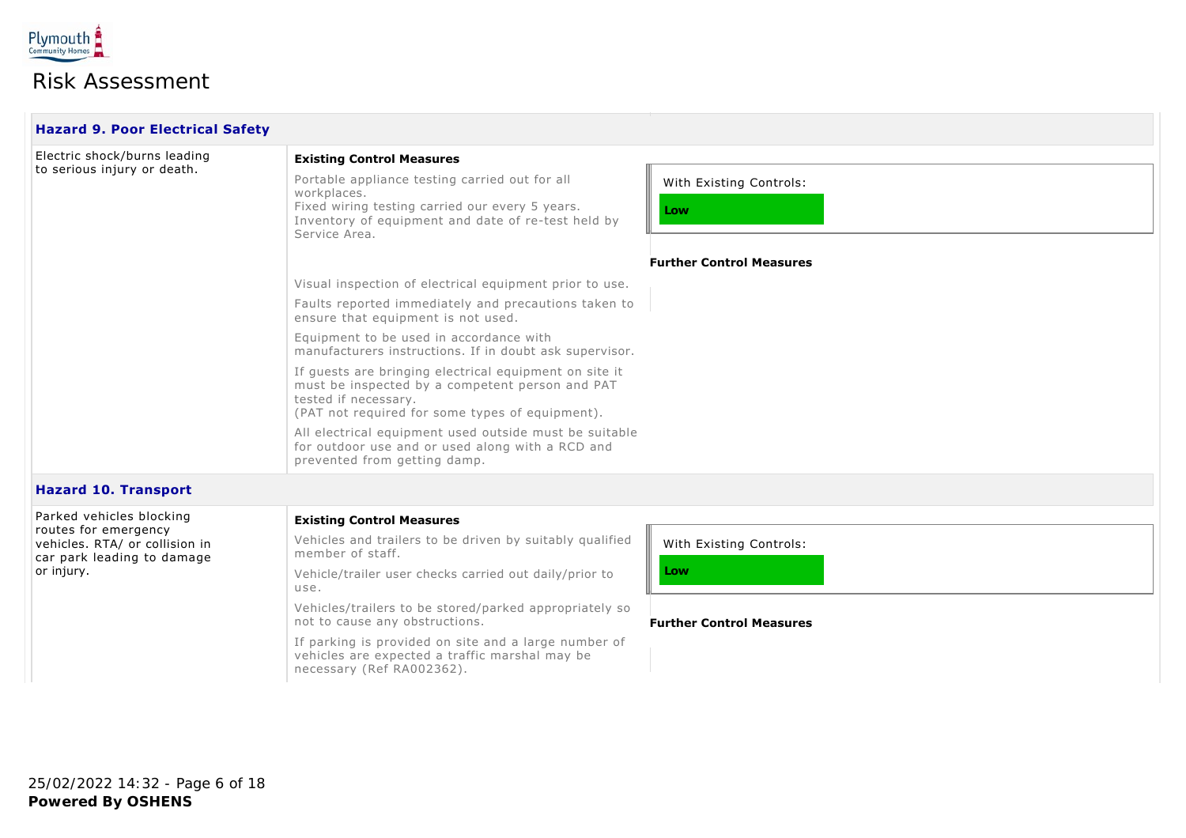

| <b>Hazard 9. Poor Electrical Safety</b> |                                                                                                                                                                                         |                                 |  |
|-----------------------------------------|-----------------------------------------------------------------------------------------------------------------------------------------------------------------------------------------|---------------------------------|--|
| Electric shock/burns leading            | <b>Existing Control Measures</b>                                                                                                                                                        |                                 |  |
| to serious injury or death.             | Portable appliance testing carried out for all<br>workplaces.<br>Fixed wiring testing carried our every 5 years.<br>Inventory of equipment and date of re-test held by<br>Service Area. | With Existing Controls:<br>Low  |  |
|                                         |                                                                                                                                                                                         | <b>Further Control Measures</b> |  |
|                                         | Visual inspection of electrical equipment prior to use.                                                                                                                                 |                                 |  |
|                                         | Faults reported immediately and precautions taken to<br>ensure that equipment is not used.                                                                                              |                                 |  |
|                                         | Equipment to be used in accordance with<br>manufacturers instructions. If in doubt ask supervisor.                                                                                      |                                 |  |
|                                         | If quests are bringing electrical equipment on site it<br>must be inspected by a competent person and PAT<br>tested if necessary.<br>(PAT not required for some types of equipment).    |                                 |  |
|                                         | All electrical equipment used outside must be suitable<br>for outdoor use and or used along with a RCD and<br>prevented from getting damp.                                              |                                 |  |
| <b>Hazard 10. Transport</b>             |                                                                                                                                                                                         |                                 |  |

| Parked vehicles blocking                                                             | <b>Existing Control Measures</b>                                                                                                    |                                 |  |
|--------------------------------------------------------------------------------------|-------------------------------------------------------------------------------------------------------------------------------------|---------------------------------|--|
| routes for emergency<br>vehicles. RTA/ or collision in<br>car park leading to damage | Vehicles and trailers to be driven by suitably qualified<br>member of staff.                                                        | With Existing Controls:         |  |
| or injury.                                                                           | Vehicle/trailer user checks carried out daily/prior to<br>use.                                                                      | Low                             |  |
|                                                                                      | Vehicles/trailers to be stored/parked appropriately so<br>not to cause any obstructions.                                            | <b>Further Control Measures</b> |  |
|                                                                                      | If parking is provided on site and a large number of<br>vehicles are expected a traffic marshal may be<br>necessary (Ref RA002362). |                                 |  |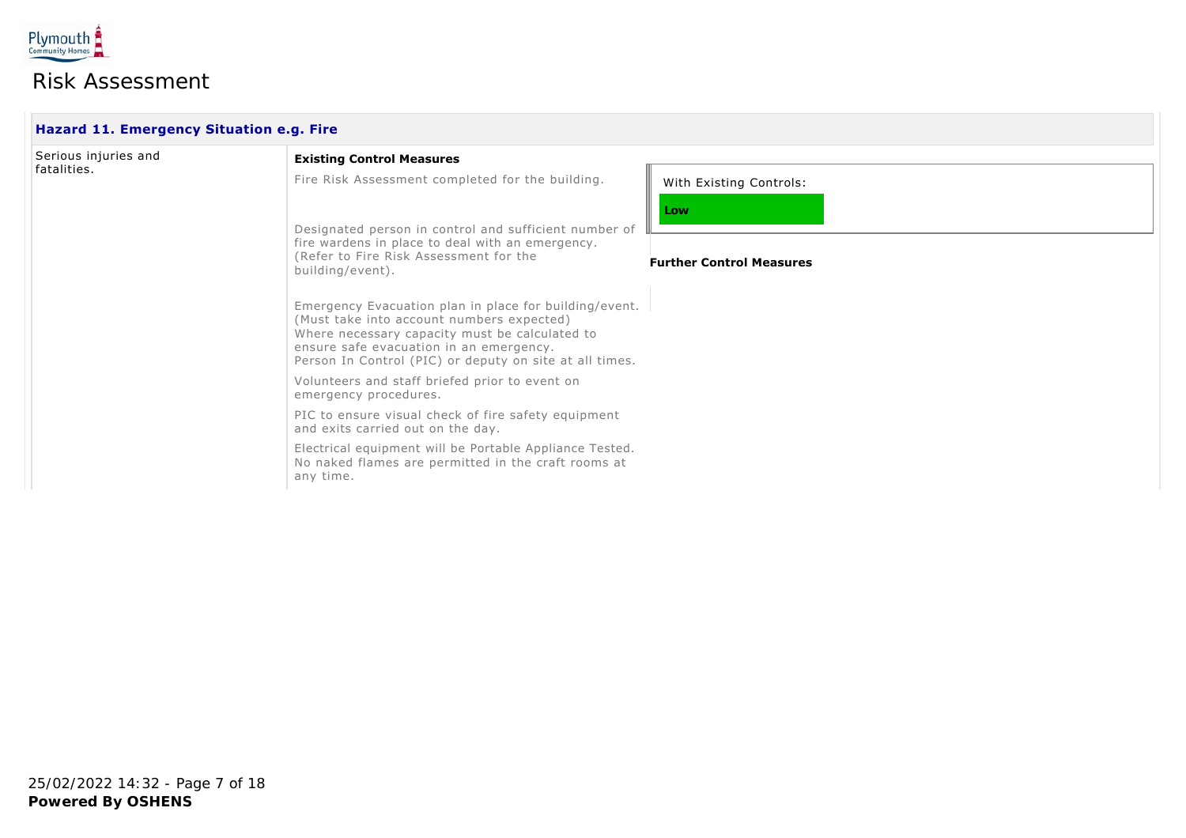

| Hazard 11. Emergency Situation e.g. Fire |                                                                                                                                                                                                                                                                                                                                                                                                                                                                                                                                                                                                                                                                                                                                                                                                                         |                                                                   |  |
|------------------------------------------|-------------------------------------------------------------------------------------------------------------------------------------------------------------------------------------------------------------------------------------------------------------------------------------------------------------------------------------------------------------------------------------------------------------------------------------------------------------------------------------------------------------------------------------------------------------------------------------------------------------------------------------------------------------------------------------------------------------------------------------------------------------------------------------------------------------------------|-------------------------------------------------------------------|--|
| Serious injuries and<br>fatalities.      | <b>Existing Control Measures</b><br>Fire Risk Assessment completed for the building.<br>Designated person in control and sufficient number of<br>fire wardens in place to deal with an emergency.<br>(Refer to Fire Risk Assessment for the<br>building/event).<br>Emergency Evacuation plan in place for building/event.<br>(Must take into account numbers expected)<br>Where necessary capacity must be calculated to<br>ensure safe evacuation in an emergency.<br>Person In Control (PIC) or deputy on site at all times.<br>Volunteers and staff briefed prior to event on<br>emergency procedures.<br>PIC to ensure visual check of fire safety equipment<br>and exits carried out on the day.<br>Electrical equipment will be Portable Appliance Tested.<br>No naked flames are permitted in the craft rooms at | With Existing Controls:<br>Low<br><b>Further Control Measures</b> |  |
|                                          | any time.                                                                                                                                                                                                                                                                                                                                                                                                                                                                                                                                                                                                                                                                                                                                                                                                               |                                                                   |  |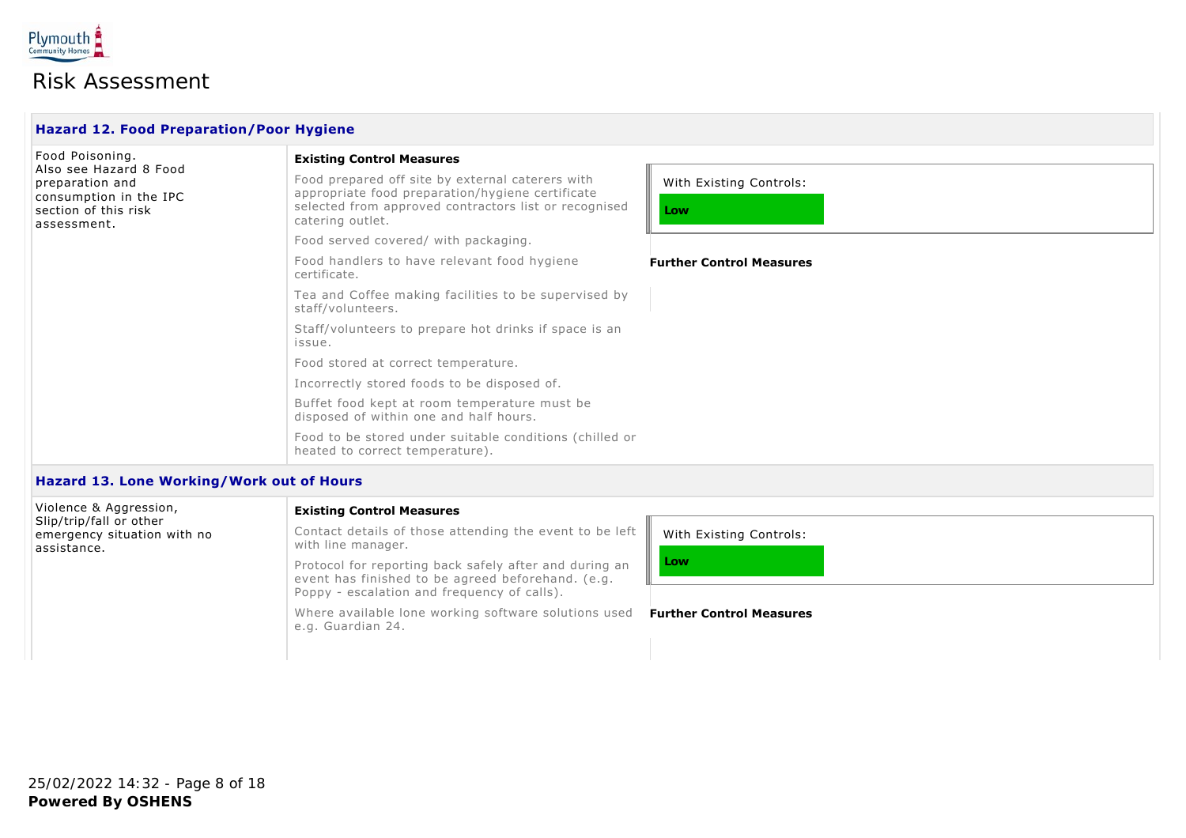

| <b>Hazard 12. Food Preparation/Poor Hygiene</b>                                                            |                                                                                                                                                                                   |                                 |  |
|------------------------------------------------------------------------------------------------------------|-----------------------------------------------------------------------------------------------------------------------------------------------------------------------------------|---------------------------------|--|
| Food Poisoning.                                                                                            | <b>Existing Control Measures</b>                                                                                                                                                  |                                 |  |
| Also see Hazard 8 Food<br>preparation and<br>consumption in the IPC<br>section of this risk<br>assessment. | Food prepared off site by external caterers with<br>appropriate food preparation/hygiene certificate<br>selected from approved contractors list or recognised<br>catering outlet. | With Existing Controls:<br>Low  |  |
|                                                                                                            | Food served covered/ with packaging.                                                                                                                                              |                                 |  |
|                                                                                                            | Food handlers to have relevant food hygiene<br>certificate.                                                                                                                       | <b>Further Control Measures</b> |  |
|                                                                                                            | Tea and Coffee making facilities to be supervised by<br>staff/volunteers.                                                                                                         |                                 |  |
|                                                                                                            | Staff/volunteers to prepare hot drinks if space is an<br>issue.                                                                                                                   |                                 |  |
|                                                                                                            | Food stored at correct temperature.                                                                                                                                               |                                 |  |
|                                                                                                            | Incorrectly stored foods to be disposed of.                                                                                                                                       |                                 |  |
|                                                                                                            | Buffet food kept at room temperature must be<br>disposed of within one and half hours.                                                                                            |                                 |  |
|                                                                                                            | Food to be stored under suitable conditions (chilled or<br>heated to correct temperature).                                                                                        |                                 |  |
|                                                                                                            |                                                                                                                                                                                   |                                 |  |

#### **Hazard 13. Lone Working/Work out of Hours**

| Violence & Aggression,                                                | <b>Existing Control Measures</b>                                                                                                                           |                                 |
|-----------------------------------------------------------------------|------------------------------------------------------------------------------------------------------------------------------------------------------------|---------------------------------|
| Slip/trip/fall or other<br>emergency situation with no<br>assistance. | Contact details of those attending the event to be left $\parallel$<br>with line manager.                                                                  | With Existing Controls:         |
|                                                                       | Protocol for reporting back safely after and during an<br>event has finished to be agreed beforehand. (e.g.<br>Poppy - escalation and frequency of calls). | Low                             |
|                                                                       | Where available lone working software solutions used<br>e.g. Guardian 24.                                                                                  | <b>Further Control Measures</b> |
|                                                                       |                                                                                                                                                            |                                 |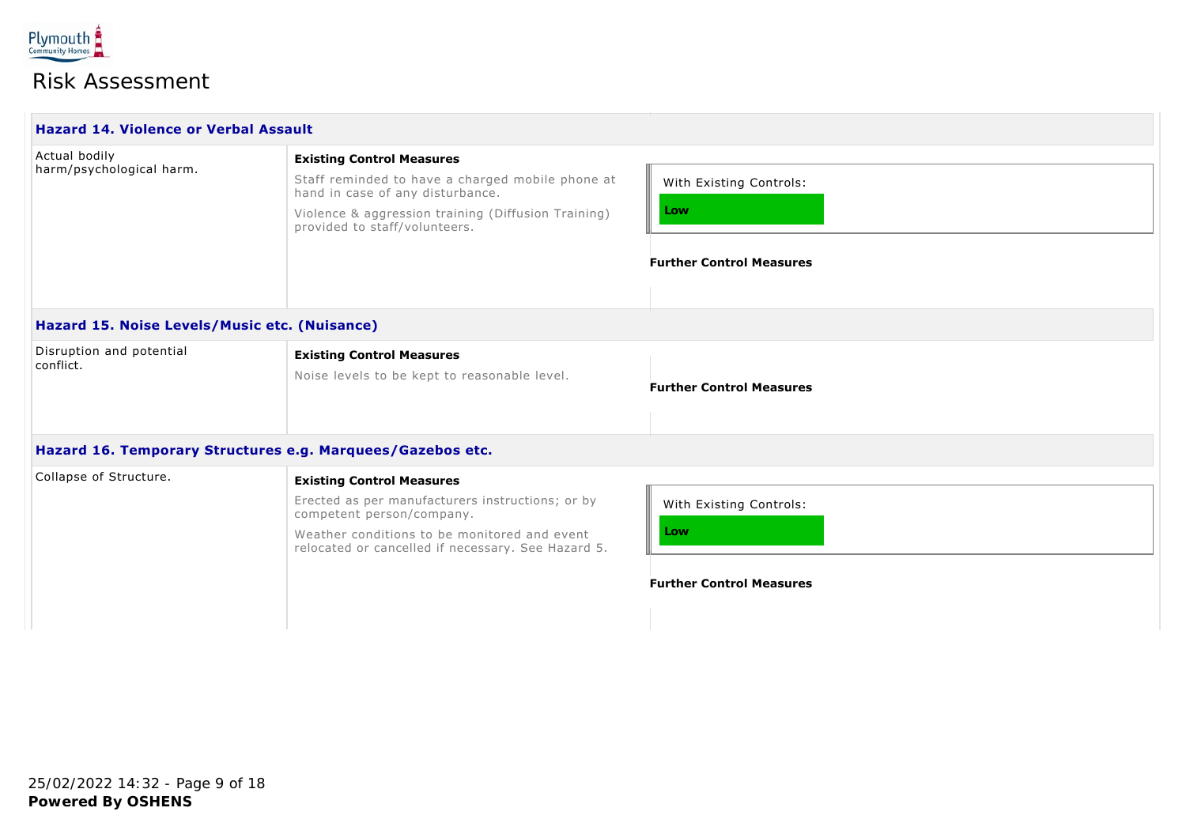

| <b>Hazard 14. Violence or Verbal Assault</b>               |                                                                                                                                                                                                                         |                                                                   |
|------------------------------------------------------------|-------------------------------------------------------------------------------------------------------------------------------------------------------------------------------------------------------------------------|-------------------------------------------------------------------|
| Actual bodily<br>harm/psychological harm.                  | <b>Existing Control Measures</b><br>Staff reminded to have a charged mobile phone at<br>hand in case of any disturbance.<br>Violence & aggression training (Diffusion Training)<br>provided to staff/volunteers.        | With Existing Controls:<br>Low<br><b>Further Control Measures</b> |
| Hazard 15. Noise Levels/Music etc. (Nuisance)              |                                                                                                                                                                                                                         |                                                                   |
| Disruption and potential<br>conflict.                      | <b>Existing Control Measures</b><br>Noise levels to be kept to reasonable level.                                                                                                                                        | <b>Further Control Measures</b>                                   |
| Hazard 16. Temporary Structures e.g. Marquees/Gazebos etc. |                                                                                                                                                                                                                         |                                                                   |
| Collapse of Structure.                                     | <b>Existing Control Measures</b><br>Erected as per manufacturers instructions; or by<br>competent person/company.<br>Weather conditions to be monitored and event<br>relocated or cancelled if necessary. See Hazard 5. | With Existing Controls:<br>Low<br><b>Further Control Measures</b> |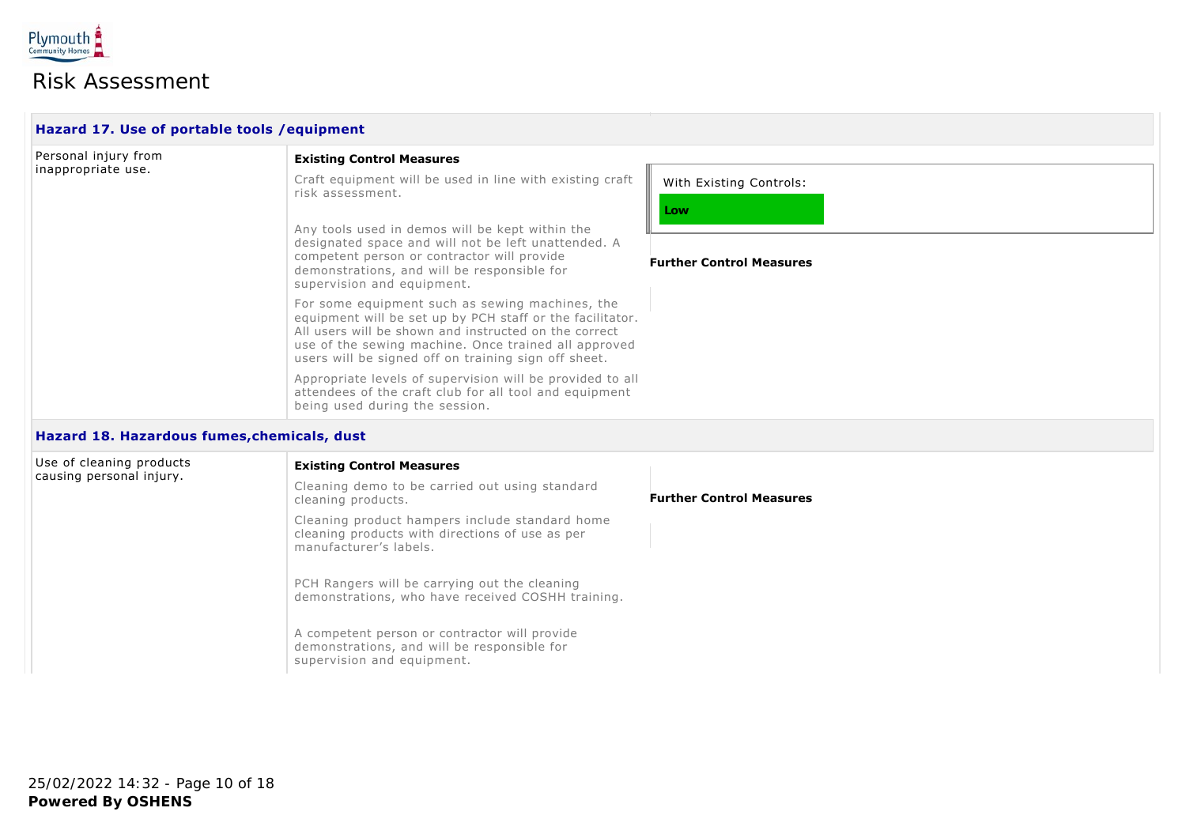

| Hazard 17. Use of portable tools / equipment |                                                                                                                                                                                                                                                                                       |                                 |
|----------------------------------------------|---------------------------------------------------------------------------------------------------------------------------------------------------------------------------------------------------------------------------------------------------------------------------------------|---------------------------------|
| Personal injury from<br>inappropriate use.   | <b>Existing Control Measures</b>                                                                                                                                                                                                                                                      |                                 |
|                                              | Craft equipment will be used in line with existing craft<br>risk assessment.                                                                                                                                                                                                          | With Existing Controls:<br>Low  |
|                                              | Any tools used in demos will be kept within the<br>designated space and will not be left unattended. A<br>competent person or contractor will provide<br>demonstrations, and will be responsible for<br>supervision and equipment.                                                    | <b>Further Control Measures</b> |
|                                              | For some equipment such as sewing machines, the<br>equipment will be set up by PCH staff or the facilitator.<br>All users will be shown and instructed on the correct<br>use of the sewing machine. Once trained all approved<br>users will be signed off on training sign off sheet. |                                 |
|                                              | Appropriate levels of supervision will be provided to all<br>attendees of the craft club for all tool and equipment<br>being used during the session.                                                                                                                                 |                                 |

### **Hazard 18. Hazardous fumes,chemicals, dust**

|  | Use of cleaning products<br>causing personal injury. | <b>Existing Control Measures</b>                                                                                            |                                 |  |
|--|------------------------------------------------------|-----------------------------------------------------------------------------------------------------------------------------|---------------------------------|--|
|  |                                                      | Cleaning demo to be carried out using standard<br>cleaning products.                                                        | <b>Further Control Measures</b> |  |
|  |                                                      | Cleaning product hampers include standard home<br>cleaning products with directions of use as per<br>manufacturer's labels. |                                 |  |
|  |                                                      | PCH Rangers will be carrying out the cleaning<br>demonstrations, who have received COSHH training.                          |                                 |  |
|  |                                                      | A competent person or contractor will provide<br>demonstrations, and will be responsible for<br>supervision and equipment.  |                                 |  |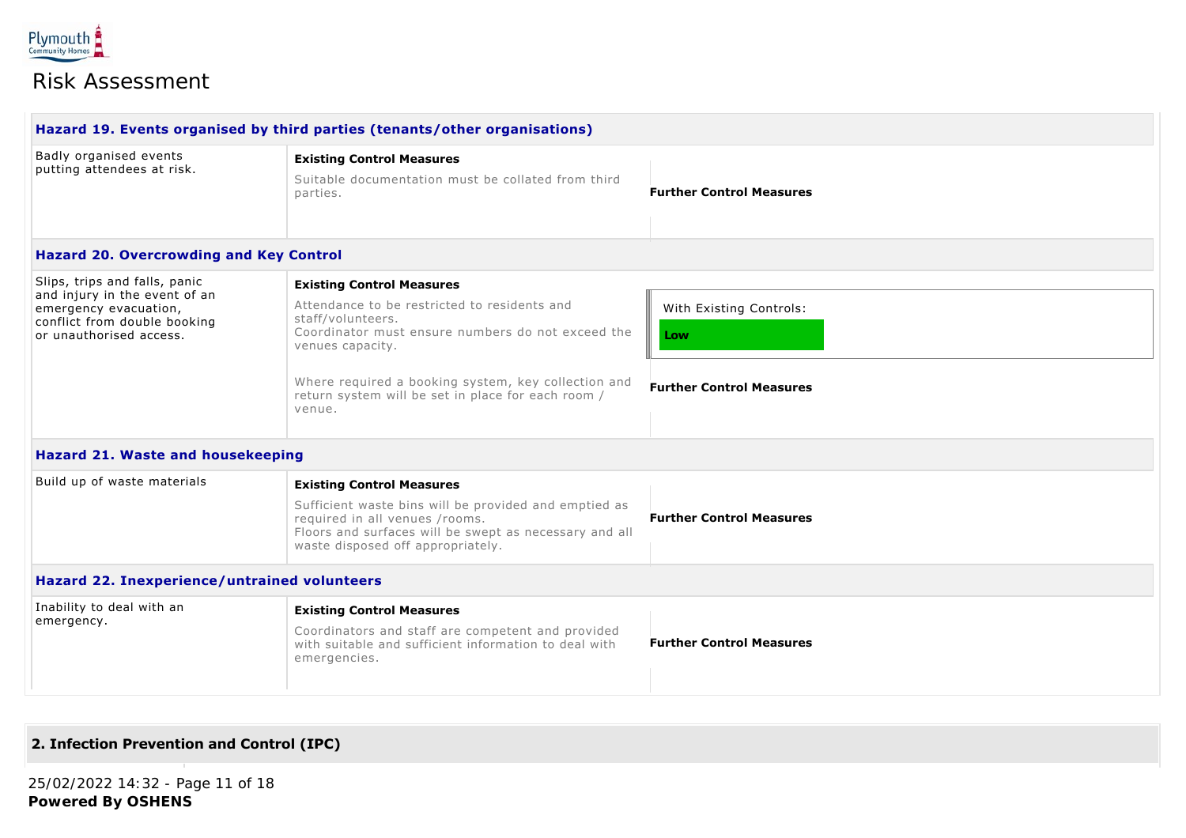

| Badly organised events<br>putting attendees at risk.                                                                                               | <b>Existing Control Measures</b>                                                                                                                                                       |                                 |  |
|----------------------------------------------------------------------------------------------------------------------------------------------------|----------------------------------------------------------------------------------------------------------------------------------------------------------------------------------------|---------------------------------|--|
|                                                                                                                                                    | Suitable documentation must be collated from third<br>parties.                                                                                                                         | <b>Further Control Measures</b> |  |
| <b>Hazard 20. Overcrowding and Key Control</b>                                                                                                     |                                                                                                                                                                                        |                                 |  |
| Slips, trips and falls, panic<br>and injury in the event of an<br>emergency evacuation,<br>conflict from double booking<br>or unauthorised access. | <b>Existing Control Measures</b>                                                                                                                                                       |                                 |  |
|                                                                                                                                                    | Attendance to be restricted to residents and<br>staff/volunteers.                                                                                                                      | With Existing Controls:         |  |
|                                                                                                                                                    | Coordinator must ensure numbers do not exceed the<br>venues capacity.                                                                                                                  | Low                             |  |
|                                                                                                                                                    | Where required a booking system, key collection and<br>return system will be set in place for each room /<br>venue.                                                                    | <b>Further Control Measures</b> |  |
| <b>Hazard 21. Waste and housekeeping</b>                                                                                                           |                                                                                                                                                                                        |                                 |  |
| Build up of waste materials                                                                                                                        | <b>Existing Control Measures</b>                                                                                                                                                       |                                 |  |
|                                                                                                                                                    | Sufficient waste bins will be provided and emptied as<br>required in all venues /rooms.<br>Floors and surfaces will be swept as necessary and all<br>waste disposed off appropriately. | <b>Further Control Measures</b> |  |
| <b>Hazard 22. Inexperience/untrained volunteers</b>                                                                                                |                                                                                                                                                                                        |                                 |  |
| Inability to deal with an                                                                                                                          | <b>Existing Control Measures</b>                                                                                                                                                       |                                 |  |
| emergency.                                                                                                                                         | Coordinators and staff are competent and provided<br>with suitable and sufficient information to deal with                                                                             | <b>Further Control Measures</b> |  |

### **2. Infection Prevention and Control (IPC)**

emergencies.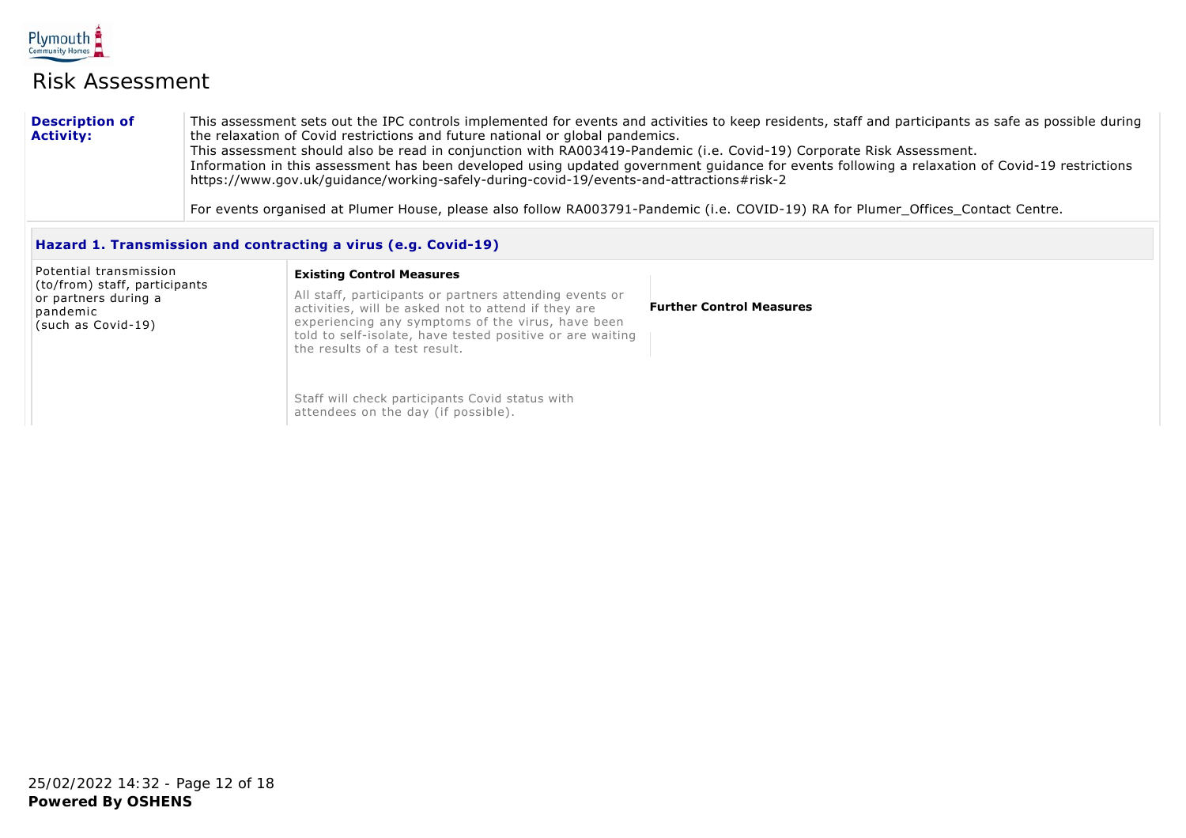

#### **Description of Activity:** This assessment sets out the IPC controls implemented for events and activities to keep residents, staff and participants as safe as possible during the relaxation of Covid restrictions and future national or global pandemics. This assessment should also be read in conjunction with RA003419-Pandemic (i.e. Covid-19) Corporate Risk Assessment. Information in this assessment has been developed using updated government guidance for events following a relaxation of Covid-19 restrictions https://www.gov.uk/guidance/working-safely-during-covid-19/events-and-attractions#risk-2

For events organised at Plumer House, please also follow RA003791-Pandemic (i.e. COVID-19) RA for Plumer\_Offices\_Contact Centre.

### **Hazard 1. Transmission and contracting a virus (e.g. Covid-19)**

| Potential transmission<br>(to/from) staff, participants<br>or partners during a<br>pandemic<br>(such as Covid-19) | <b>Existing Control Measures</b><br>All staff, participants or partners attending events or<br>activities, will be asked not to attend if they are<br>experiencing any symptoms of the virus, have been<br>told to self-isolate, have tested positive or are waiting<br>the results of a test result. | <b>Further Control Measures</b> |
|-------------------------------------------------------------------------------------------------------------------|-------------------------------------------------------------------------------------------------------------------------------------------------------------------------------------------------------------------------------------------------------------------------------------------------------|---------------------------------|
|                                                                                                                   | Staff will check participants Covid status with<br>attendees on the day (if possible).                                                                                                                                                                                                                |                                 |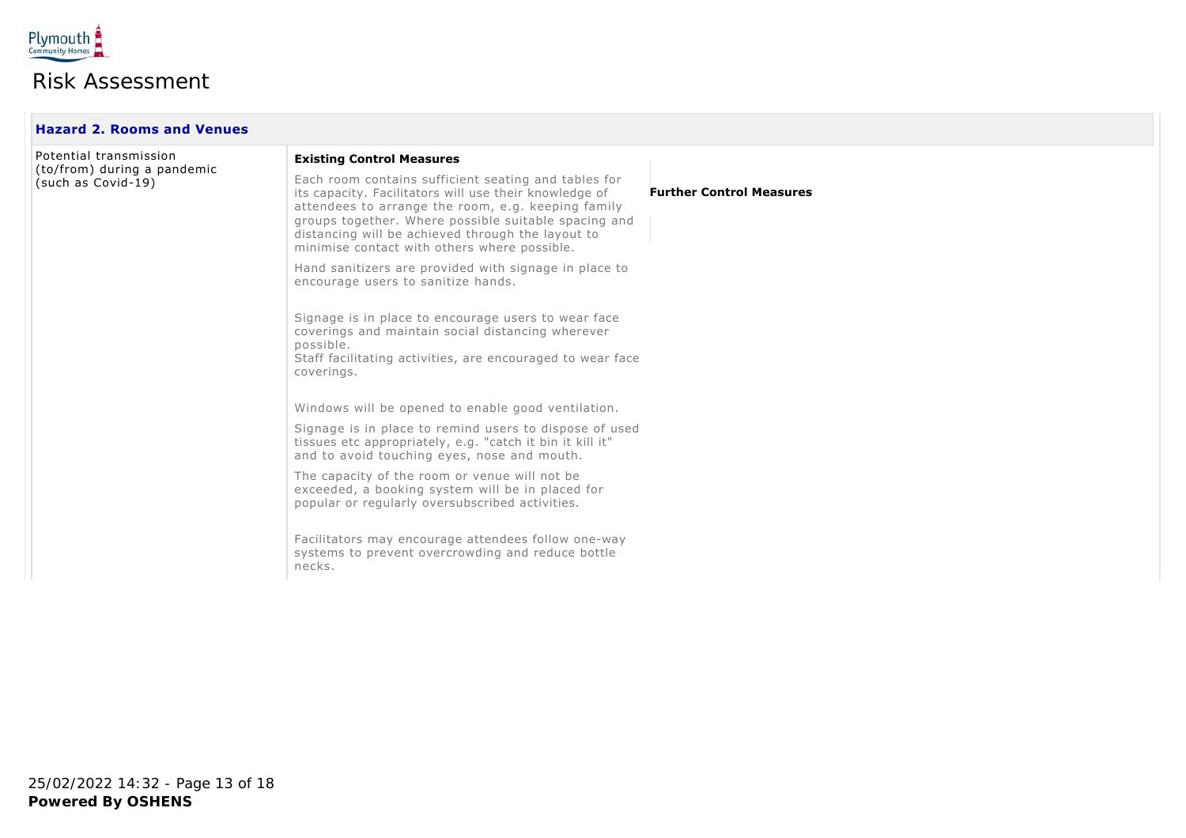

| <b>Hazard 2. Rooms and Venues</b>                 |                                                                                                                                                                                                                                                                                                                                   |                                 |  |
|---------------------------------------------------|-----------------------------------------------------------------------------------------------------------------------------------------------------------------------------------------------------------------------------------------------------------------------------------------------------------------------------------|---------------------------------|--|
| Potential transmission                            | <b>Existing Control Measures</b>                                                                                                                                                                                                                                                                                                  |                                 |  |
| (to/from) during a pandemic<br>(such as Covid-19) | Each room contains sufficient seating and tables for<br>its capacity. Facilitators will use their knowledge of<br>attendees to arrange the room, e.g. keeping family<br>groups together. Where possible suitable spacing and<br>distancing will be achieved through the layout to<br>minimise contact with others where possible. | <b>Further Control Measures</b> |  |
|                                                   | Hand sanitizers are provided with signage in place to<br>encourage users to sanitize hands.                                                                                                                                                                                                                                       |                                 |  |
|                                                   | Signage is in place to encourage users to wear face<br>coverings and maintain social distancing wherever<br>possible.<br>Staff facilitating activities, are encouraged to wear face<br>coverings.                                                                                                                                 |                                 |  |
|                                                   | Windows will be opened to enable good ventilation.                                                                                                                                                                                                                                                                                |                                 |  |
|                                                   | Signage is in place to remind users to dispose of used<br>tissues etc appropriately, e.g. "catch it bin it kill it"<br>and to avoid touching eyes, nose and mouth.                                                                                                                                                                |                                 |  |
|                                                   | The capacity of the room or venue will not be<br>exceeded, a booking system will be in placed for<br>popular or regularly oversubscribed activities.                                                                                                                                                                              |                                 |  |
|                                                   | Facilitators may encourage attendees follow one-way<br>systems to prevent overcrowding and reduce bottle<br>necks.                                                                                                                                                                                                                |                                 |  |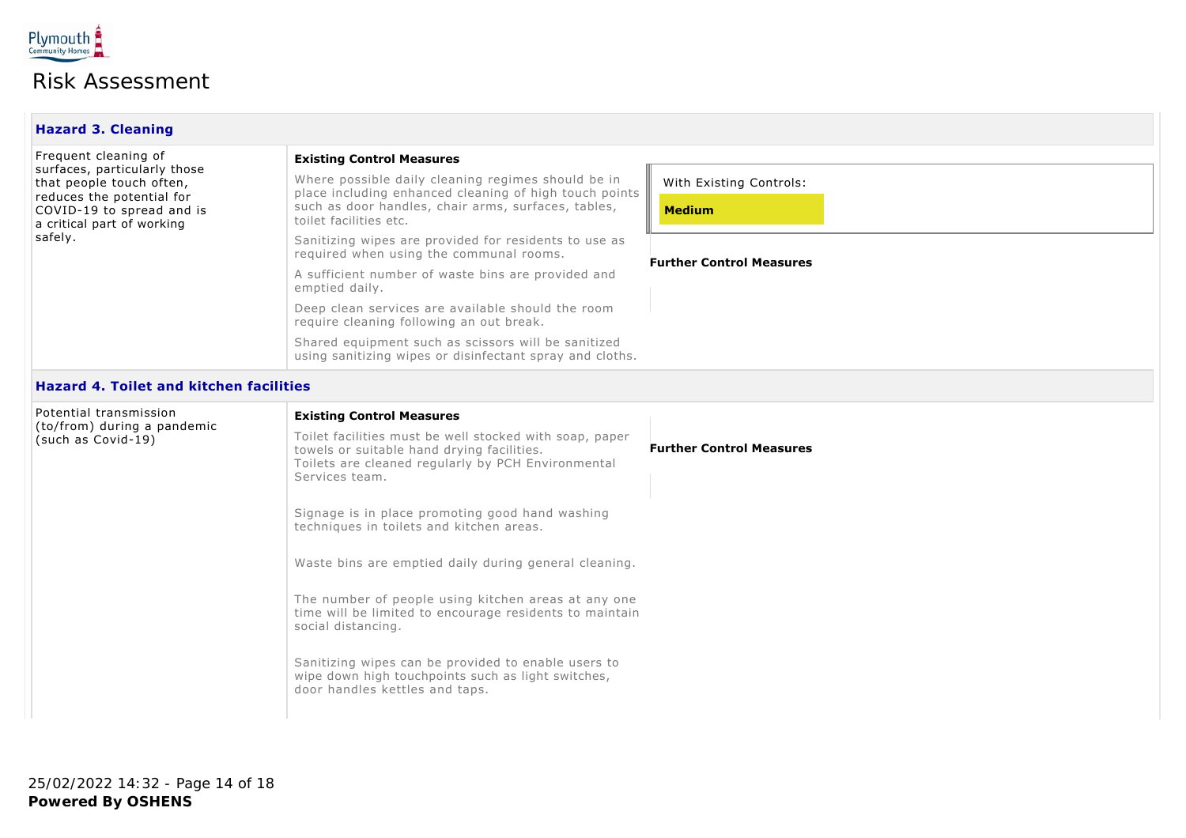

| <b>Hazard 3. Cleaning</b>                                                                                                                                                           |                                                                                                                                                                                                                                                                                                                                                                                                                                                                                                                                                                                                                                                                  |                                                                             |  |
|-------------------------------------------------------------------------------------------------------------------------------------------------------------------------------------|------------------------------------------------------------------------------------------------------------------------------------------------------------------------------------------------------------------------------------------------------------------------------------------------------------------------------------------------------------------------------------------------------------------------------------------------------------------------------------------------------------------------------------------------------------------------------------------------------------------------------------------------------------------|-----------------------------------------------------------------------------|--|
| Frequent cleaning of<br>surfaces, particularly those<br>that people touch often,<br>reduces the potential for<br>COVID-19 to spread and is<br>a critical part of working<br>safely. | <b>Existing Control Measures</b><br>Where possible daily cleaning regimes should be in<br>place including enhanced cleaning of high touch points<br>such as door handles, chair arms, surfaces, tables,<br>toilet facilities etc.<br>Sanitizing wipes are provided for residents to use as<br>required when using the communal rooms.<br>A sufficient number of waste bins are provided and<br>emptied daily.<br>Deep clean services are available should the room<br>require cleaning following an out break.<br>Shared equipment such as scissors will be sanitized<br>using sanitizing wipes or disinfectant spray and cloths.                                | With Existing Controls:<br><b>Medium</b><br><b>Further Control Measures</b> |  |
| <b>Hazard 4. Toilet and kitchen facilities</b>                                                                                                                                      |                                                                                                                                                                                                                                                                                                                                                                                                                                                                                                                                                                                                                                                                  |                                                                             |  |
| Potential transmission<br>(to/from) during a pandemic<br>(such as Covid-19)                                                                                                         | <b>Existing Control Measures</b><br>Toilet facilities must be well stocked with soap, paper<br>towels or suitable hand drying facilities.<br>Toilets are cleaned regularly by PCH Environmental<br>Services team.<br>Signage is in place promoting good hand washing<br>techniques in toilets and kitchen areas.<br>Waste bins are emptied daily during general cleaning.<br>The number of people using kitchen areas at any one<br>time will be limited to encourage residents to maintain<br>social distancing.<br>Sanitizing wipes can be provided to enable users to<br>wipe down high touchpoints such as light switches,<br>door handles kettles and taps. | <b>Further Control Measures</b>                                             |  |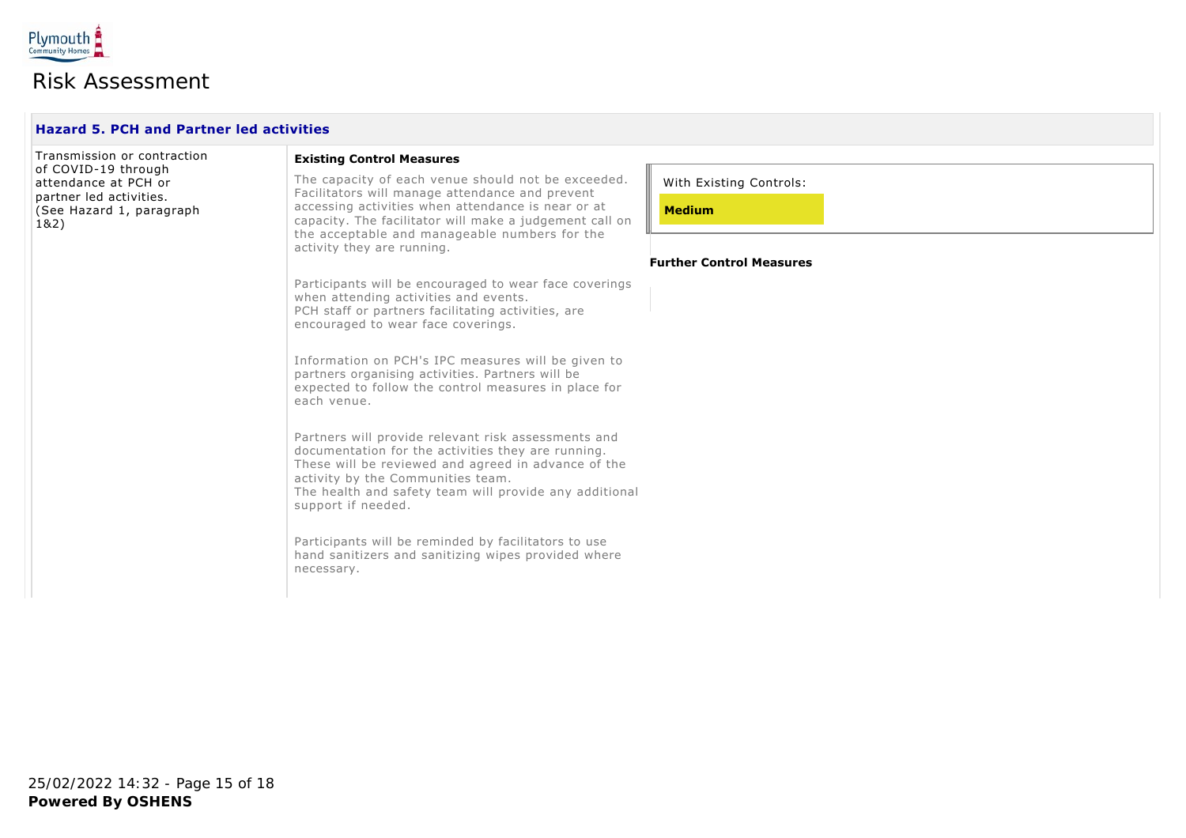

| Transmission or contraction                                                                                | <b>Existing Control Measures</b>                                                                                                                                                                                                                                                      |                                          |
|------------------------------------------------------------------------------------------------------------|---------------------------------------------------------------------------------------------------------------------------------------------------------------------------------------------------------------------------------------------------------------------------------------|------------------------------------------|
| of COVID-19 through<br>attendance at PCH or<br>partner led activities.<br>(See Hazard 1, paragraph<br>1&2) | The capacity of each venue should not be exceeded.<br>Facilitators will manage attendance and prevent<br>accessing activities when attendance is near or at<br>capacity. The facilitator will make a judgement call on<br>the acceptable and manageable numbers for the               | With Existing Controls:<br><b>Medium</b> |
|                                                                                                            | activity they are running.                                                                                                                                                                                                                                                            | <b>Further Control Measures</b>          |
|                                                                                                            | Participants will be encouraged to wear face coverings<br>when attending activities and events.<br>PCH staff or partners facilitating activities, are<br>encouraged to wear face coverings.                                                                                           |                                          |
|                                                                                                            | Information on PCH's IPC measures will be given to<br>partners organising activities. Partners will be<br>expected to follow the control measures in place for<br>each venue.                                                                                                         |                                          |
|                                                                                                            | Partners will provide relevant risk assessments and<br>documentation for the activities they are running.<br>These will be reviewed and agreed in advance of the<br>activity by the Communities team.<br>The health and safety team will provide any additional<br>support if needed. |                                          |
|                                                                                                            | Participants will be reminded by facilitators to use<br>hand sanitizers and sanitizing wipes provided where<br>necessary.                                                                                                                                                             |                                          |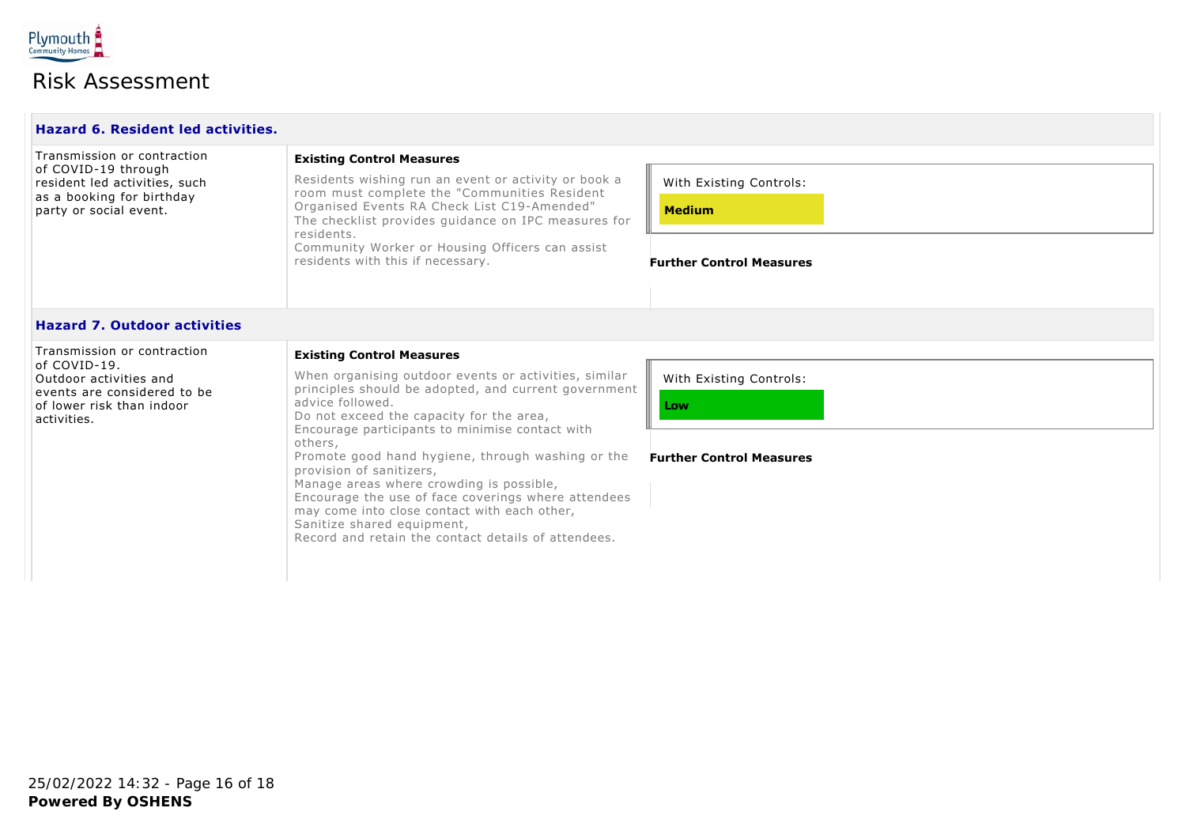

| Hazard 6. Resident led activities.                                                                                                               |                                                                                                                                                                                                                                                                                                                                                                                                                                                                                                                                                                                                          |                                                                             |  |
|--------------------------------------------------------------------------------------------------------------------------------------------------|----------------------------------------------------------------------------------------------------------------------------------------------------------------------------------------------------------------------------------------------------------------------------------------------------------------------------------------------------------------------------------------------------------------------------------------------------------------------------------------------------------------------------------------------------------------------------------------------------------|-----------------------------------------------------------------------------|--|
| Transmission or contraction<br>of COVID-19 through<br>resident led activities, such<br>as a booking for birthday<br>party or social event.       | <b>Existing Control Measures</b><br>Residents wishing run an event or activity or book a<br>room must complete the "Communities Resident<br>Organised Events RA Check List C19-Amended"<br>The checklist provides quidance on IPC measures for<br>residents.<br>Community Worker or Housing Officers can assist<br>residents with this if necessary.                                                                                                                                                                                                                                                     | With Existing Controls:<br><b>Medium</b><br><b>Further Control Measures</b> |  |
| <b>Hazard 7. Outdoor activities</b>                                                                                                              |                                                                                                                                                                                                                                                                                                                                                                                                                                                                                                                                                                                                          |                                                                             |  |
| Transmission or contraction<br>of COVID-19.<br>Outdoor activities and<br>events are considered to be<br>of lower risk than indoor<br>activities. | <b>Existing Control Measures</b><br>When organising outdoor events or activities, similar<br>principles should be adopted, and current government<br>advice followed.<br>Do not exceed the capacity for the area,<br>Encourage participants to minimise contact with<br>others,<br>Promote good hand hygiene, through washing or the<br>provision of sanitizers,<br>Manage areas where crowding is possible,<br>Encourage the use of face coverings where attendees<br>may come into close contact with each other,<br>Sanitize shared equipment,<br>Record and retain the contact details of attendees. | With Existing Controls:<br>Low<br><b>Further Control Measures</b>           |  |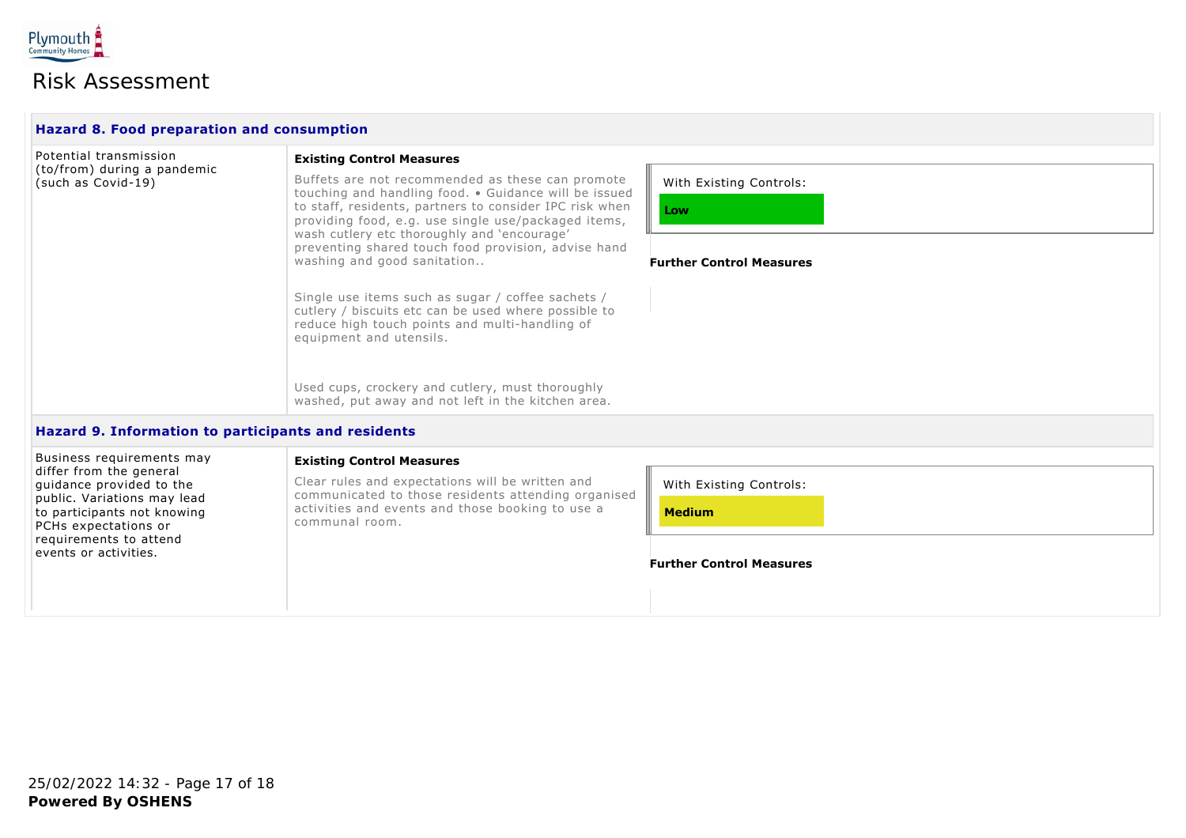

| <b>Hazard 8. Food preparation and consumption</b>                                  |                                                                                                                                                                                                                                                                            |                                 |  |
|------------------------------------------------------------------------------------|----------------------------------------------------------------------------------------------------------------------------------------------------------------------------------------------------------------------------------------------------------------------------|---------------------------------|--|
| Potential transmission                                                             | <b>Existing Control Measures</b>                                                                                                                                                                                                                                           |                                 |  |
| (to/from) during a pandemic<br>(such as Covid-19)                                  | Buffets are not recommended as these can promote<br>touching and handling food. . Guidance will be issued<br>to staff, residents, partners to consider IPC risk when<br>providing food, e.g. use single use/packaged items,<br>wash cutlery etc thoroughly and 'encourage' | With Existing Controls:<br>Low  |  |
|                                                                                    | preventing shared touch food provision, advise hand<br>washing and good sanitation                                                                                                                                                                                         | <b>Further Control Measures</b> |  |
|                                                                                    | Single use items such as sugar / coffee sachets /<br>cutlery / biscuits etc can be used where possible to<br>reduce high touch points and multi-handling of<br>equipment and utensils.                                                                                     |                                 |  |
|                                                                                    | Used cups, crockery and cutlery, must thoroughly<br>washed, put away and not left in the kitchen area.                                                                                                                                                                     |                                 |  |
| Hazard 9. Information to participants and residents                                |                                                                                                                                                                                                                                                                            |                                 |  |
| Business requirements may                                                          | <b>Existing Control Measures</b>                                                                                                                                                                                                                                           |                                 |  |
| differ from the general<br>guidance provided to the<br>public. Variations may lead | Clear rules and expectations will be written and<br>communicated to those residents attending organised<br>activities and events and those booking to use a<br>communal room.                                                                                              | With Existing Controls:         |  |
| to participants not knowing<br>PCHs expectations or                                |                                                                                                                                                                                                                                                                            | <b>Medium</b>                   |  |
| requirements to attend<br>events or activities.                                    |                                                                                                                                                                                                                                                                            | <b>Further Control Measures</b> |  |
|                                                                                    |                                                                                                                                                                                                                                                                            |                                 |  |